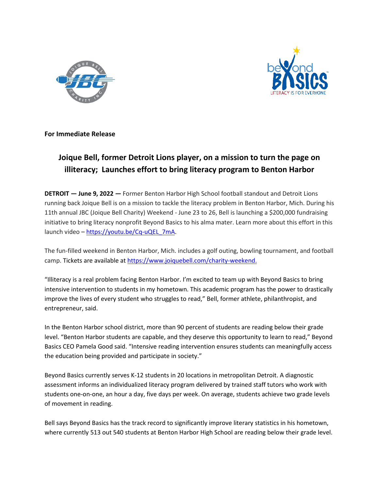



**For Immediate Release**

## **Joique Bell, former Detroit Lions player, on a mission to turn the page on illiteracy; Launches effort to bring literacy program to Benton Harbor**

**DETROIT — June 9, 2022** *—* Former Benton Harbor High School football standout and Detroit Lions running back Joique Bell is on a mission to tackle the literacy problem in Benton Harbor, Mich. During his 11th annual JBC (Joique Bell Charity) Weekend - June 23 to 26, Bell is launching a \$200,000 fundraising initiative to bring literacy nonprofit Beyond Basics to his alma mater. Learn more about this effort in this launch video – [https://youtu.be/Cq-uQEL\\_7mA.](https://youtu.be/Cq-uQEL_7mA)

The fun-filled weekend in Benton Harbor, Mich. includes a golf outing, bowling tournament, and football camp. Tickets are available at [https://www.joiquebell.com/charity-weekend.](https://www.joiquebell.com/charity-weekend)

"Illiteracy is a real problem facing Benton Harbor. I'm excited to team up with Beyond Basics to bring intensive intervention to students in my hometown. This academic program has the power to drastically improve the lives of every student who struggles to read," Bell, former athlete, philanthropist, and entrepreneur, said.

In the Benton Harbor school district, more than 90 percent of students are reading below their grade level. "Benton Harbor students are capable, and they deserve this opportunity to learn to read," Beyond Basics CEO Pamela Good said. "Intensive reading intervention ensures students can meaningfully access the education being provided and participate in society."

Beyond Basics currently serves K-12 students in 20 locations in metropolitan Detroit. A diagnostic assessment informs an individualized literacy program delivered by trained staff tutors who work with students one-on-one, an hour a day, five days per week. On average, students achieve two grade levels of movement in reading.

Bell says Beyond Basics has the track record to significantly improve literary statistics in his hometown, where currently 513 out 540 students at Benton Harbor High School are reading below their grade level.